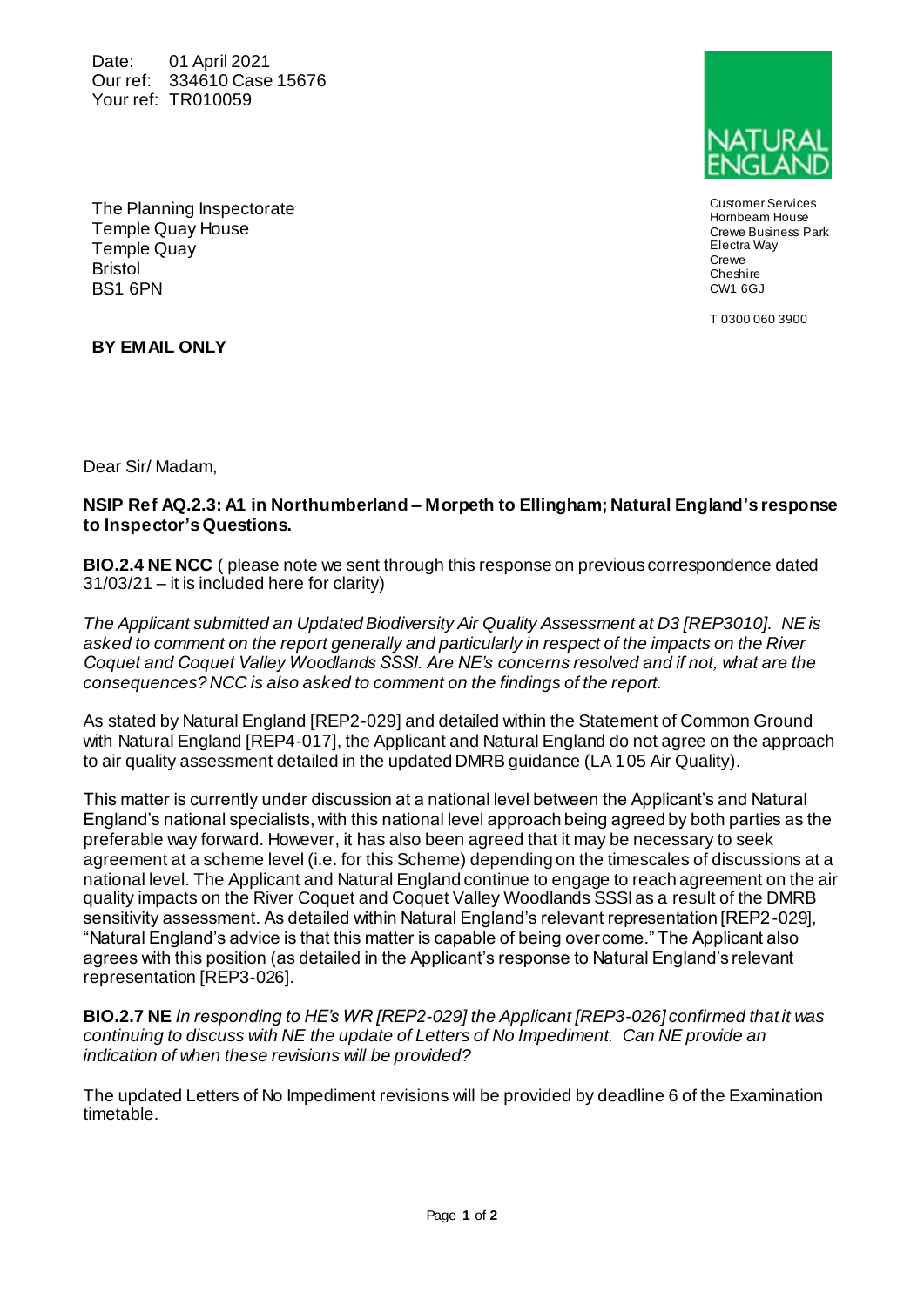Date: 01 April 2021 Our ref: 334610 Case 15676 Your ref: TR010059



Customer Services Hornbeam House Crewe Business Park Electra Way Crewe Cheshire CW1 6GJ

T 0300 060 3900

The Planning Inspectorate Temple Quay House Temple Quay **Bristol** BS1 6PN

**BY EMAIL ONLY**

Dear Sir/ Madam,

## **NSIP Ref AQ.2.3: A1 in Northumberland – Morpeth to Ellingham; Natural England's response to Inspector's Questions.**

**BIO.2.4 NE NCC** ( please note we sent through this response on previous correspondence dated 31/03/21 – it is included here for clarity)

*The Applicant submitted an Updated Biodiversity Air Quality Assessment at D3 [REP3010]. NE is asked to comment on the report generally and particularly in respect of the impacts on the River Coquet and Coquet Valley Woodlands SSSI. Are NE's concerns resolved and if not, what are the consequences? NCC is also asked to comment on the findings of the report.*

As stated by Natural England [REP2-029] and detailed within the Statement of Common Ground with Natural England [REP4-017], the Applicant and Natural England do not agree on the approach to air quality assessment detailed in the updated DMRB guidance (LA 105 Air Quality).

This matter is currently under discussion at a national level between the Applicant's and Natural England's national specialists, with this national level approach being agreed by both parties as the preferable way forward. However, it has also been agreed that it may be necessary to seek agreement at a scheme level (i.e. for this Scheme) depending on the timescales of discussions at a national level. The Applicant and Natural England continue to engage to reach agreement on the air quality impacts on the River Coquet and Coquet Valley Woodlands SSSI as a result of the DMRB sensitivity assessment. As detailed within Natural England's relevant representation [REP2-029], "Natural England's advice is that this matter is capable of being overcome." The Applicant also agrees with this position (as detailed in the Applicant's response to Natural England's relevant representation [REP3-026].

**BIO.2.7 NE** *In responding to HE's WR [REP2-029] the Applicant [REP3-026] confirmed that it was continuing to discuss with NE the update of Letters of No Impediment. Can NE provide an indication of when these revisions will be provided?*

The updated Letters of No Impediment revisions will be provided by deadline 6 of the Examination timetable.